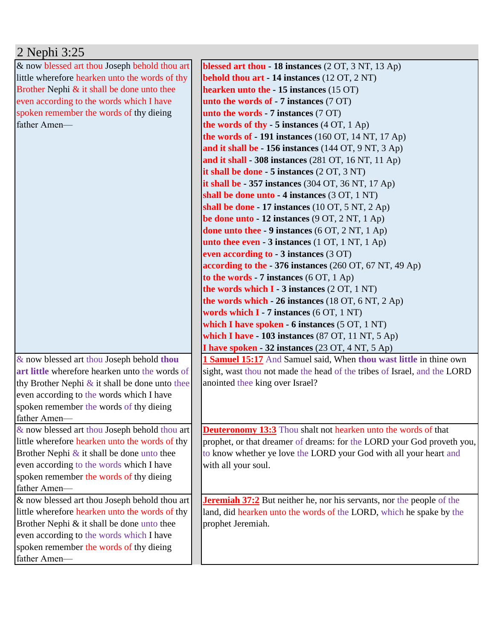| 2 Nephi 3:25                                      |                                                                              |
|---------------------------------------------------|------------------------------------------------------------------------------|
| & now blessed art thou Joseph behold thou art     | blessed art thou - 18 instances (2 OT, 3 NT, 13 Ap)                          |
| little wherefore hearken unto the words of thy    | <b>behold thou art - 14 instances</b> (12 OT, 2 NT)                          |
| Brother Nephi $\&$ it shall be done unto thee     | hearken unto the - 15 instances (15 OT)                                      |
| even according to the words which I have          | unto the words of $-7$ instances $(7 \text{ OT})$                            |
| spoken remember the words of thy dieing           | unto the words $-7$ instances $(7 \text{ OT})$                               |
| father Amen-                                      | the words of thy $-5$ instances $(4 OT, 1 Ap)$                               |
|                                                   | the words of $-191$ instances (160 OT, 14 NT, 17 Ap)                         |
|                                                   | and it shall be - 156 instances (144 OT, 9 NT, 3 Ap)                         |
|                                                   | and it shall - 308 instances (281 OT, 16 NT, 11 Ap)                          |
|                                                   | it shall be done - 5 instances (2 OT, 3 NT)                                  |
|                                                   | it shall be $-357$ instances (304 OT, 36 NT, 17 Ap)                          |
|                                                   | shall be done unto - 4 instances (3 OT, 1 NT)                                |
|                                                   | shall be done - 17 instances $(10 OT, 5 NT, 2 Ap)$                           |
|                                                   | be done unto $-12$ instances (9 OT, 2 NT, 1 Ap)                              |
|                                                   | done unto thee $-9$ instances (6 OT, 2 NT, 1 Ap)                             |
|                                                   | unto thee even $-3$ instances (1 OT, 1 NT, 1 Ap)                             |
|                                                   | even according to - 3 instances (3 OT)                                       |
|                                                   | according to the - 376 instances (260 OT, 67 NT, 49 Ap)                      |
|                                                   | to the words - 7 instances $(6 OT, 1 Ap)$                                    |
|                                                   | the words which $I - 3$ instances $(2 OT, 1 NT)$                             |
|                                                   | the words which $-26$ instances (18 OT, 6 NT, 2 Ap)                          |
|                                                   | words which $I - 7$ instances (6 OT, 1 NT)                                   |
|                                                   | which I have spoken $-6$ instances $(5 OT, 1 NT)$                            |
|                                                   | which I have - 103 instances (87 OT, 11 NT, 5 Ap)                            |
|                                                   | <b>I have spoken - 32 instances</b> (23 OT, 4 NT, 5 Ap)                      |
| & now blessed art thou Joseph behold thou         | <b>1 Samuel 15:17</b> And Samuel said, When thou wast little in thine own    |
| art little wherefore hearken unto the words of    | sight, wast thou not made the head of the tribes of Israel, and the LORD     |
| thy Brother Nephi $\&$ it shall be done unto thee | anointed thee king over Israel?                                              |
| even according to the words which I have          |                                                                              |
| spoken remember the words of thy dieing           |                                                                              |
| father Amen-                                      |                                                                              |
| & now blessed art thou Joseph behold thou art     | <b>Deuteronomy 13:3</b> Thou shalt not hearken unto the words of that        |
| little wherefore hearken unto the words of thy    | prophet, or that dreamer of dreams: for the LORD your God proveth you,       |
| Brother Nephi $\&$ it shall be done unto thee     | to know whether ye love the LORD your God with all your heart and            |
| even according to the words which I have          | with all your soul.                                                          |
| spoken remember the words of thy dieing           |                                                                              |
| father Amen-                                      |                                                                              |
| & now blessed art thou Joseph behold thou art     | <b>Jeremiah 37:2</b> But neither he, nor his servants, nor the people of the |
| little wherefore hearken unto the words of thy    | land, did hearken unto the words of the LORD, which he spake by the          |
| Brother Nephi & it shall be done unto thee        | prophet Jeremiah.                                                            |
| even according to the words which I have          |                                                                              |
| spoken remember the words of thy dieing           |                                                                              |
| father Amen-                                      |                                                                              |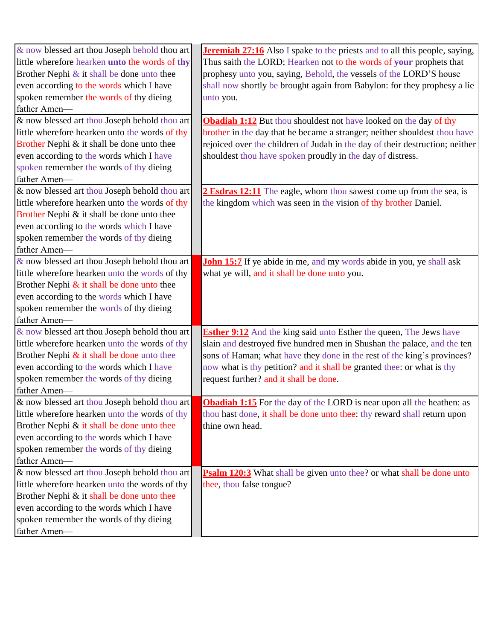| & now blessed art thou Joseph behold thou art  | <b>Jeremiah 27:16</b> Also I spake to the priests and to all this people, saying, |
|------------------------------------------------|-----------------------------------------------------------------------------------|
| little wherefore hearken unto the words of thy | Thus saith the LORD; Hearken not to the words of your prophets that               |
| Brother Nephi & it shall be done unto thee     | prophesy unto you, saying, Behold, the vessels of the LORD'S house                |
| even according to the words which I have       | shall now shortly be brought again from Babylon: for they prophesy a lie          |
| spoken remember the words of thy dieing        | unto you.                                                                         |
| father Amen-                                   |                                                                                   |
| & now blessed art thou Joseph behold thou art  | <b>Obadiah 1:12</b> But thou shouldest not have looked on the day of thy          |
| little wherefore hearken unto the words of thy | brother in the day that he became a stranger; neither shouldest thou have         |
| Brother Nephi & it shall be done unto thee     | rejoiced over the children of Judah in the day of their destruction; neither      |
| even according to the words which I have       | shouldest thou have spoken proudly in the day of distress.                        |
| spoken remember the words of thy dieing        |                                                                                   |
| father Amen-                                   |                                                                                   |
| & now blessed art thou Joseph behold thou art  | 2 Esdras 12:11 The eagle, whom thou sawest come up from the sea, is               |
| little wherefore hearken unto the words of thy | the kingdom which was seen in the vision of thy brother Daniel.                   |
| Brother Nephi & it shall be done unto thee     |                                                                                   |
| even according to the words which I have       |                                                                                   |
| spoken remember the words of thy dieing        |                                                                                   |
| father Amen-                                   |                                                                                   |
| & now blessed art thou Joseph behold thou art  | <b>John 15:7</b> If ye abide in me, and my words abide in you, ye shall ask       |
| little wherefore hearken unto the words of thy | what ye will, and it shall be done unto you.                                      |
| Brother Nephi $\&$ it shall be done unto thee  |                                                                                   |
| even according to the words which I have       |                                                                                   |
| spoken remember the words of thy dieing        |                                                                                   |
| father Amen-                                   |                                                                                   |
| & now blessed art thou Joseph behold thou art  | <b>Esther 9:12</b> And the king said unto Esther the queen, The Jews have         |
| little wherefore hearken unto the words of thy | slain and destroyed five hundred men in Shushan the palace, and the ten           |
| Brother Nephi $\&$ it shall be done unto thee  | sons of Haman; what have they done in the rest of the king's provinces?           |
| even according to the words which I have       | now what is thy petition? and it shall be granted thee: or what is thy            |
| spoken remember the words of thy dieing        | request further? and it shall be done.                                            |
| father Amen-                                   |                                                                                   |
| & now blessed art thou Joseph behold thou art  | <b>Obadiah 1:15</b> For the day of the LORD is near upon all the heathen: as      |
| little wherefore hearken unto the words of thy | thou hast done, it shall be done unto thee: thy reward shall return upon          |
| Brother Nephi & it shall be done unto thee     | thine own head.                                                                   |
| even according to the words which I have       |                                                                                   |
| spoken remember the words of thy dieing        |                                                                                   |
| father Amen-                                   |                                                                                   |
| & now blessed art thou Joseph behold thou art  | <b>Psalm 120:3</b> What shall be given unto thee? or what shall be done unto      |
| little wherefore hearken unto the words of thy | thee, thou false tongue?                                                          |
| Brother Nephi & it shall be done unto thee     |                                                                                   |
| even according to the words which I have       |                                                                                   |
| spoken remember the words of thy dieing        |                                                                                   |
| father Amen-                                   |                                                                                   |